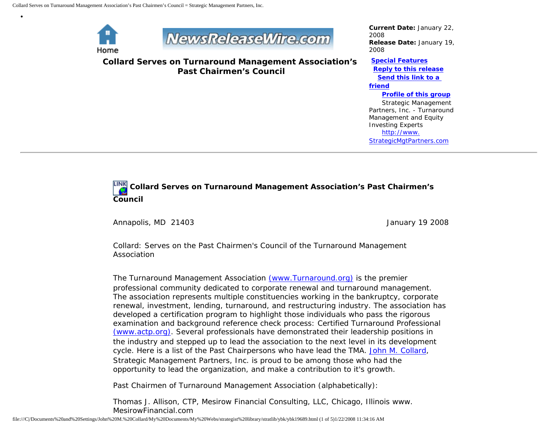

•



**Collard Serves on Turnaround Management Association's Past Chairmen's Council**

*Current Date:* January 22, 2008 *Release Date:* January 19, 2008

**[Special Features](javascript:openlittleme() [Reply to this release](file:///C|/Documents%20and%20Settings/John%20M.%20Collard/My%20Documents/My%20Webs/strategist%20library/stratlib/ybk/default.cfm?Action=ReplyRelease&Id=19689) [Send this link to a](file:///C|/Documents%20and%20Settings/John%20M.%20Collard/My%20Documents/My%20Webs/strategist%20library/stratlib/ybk/default.cfm?Action=SendLink&SendId=19689)  [friend](file:///C|/Documents%20and%20Settings/John%20M.%20Collard/My%20Documents/My%20Webs/strategist%20library/stratlib/ybk/default.cfm?Action=SendLink&SendId=19689) [Profile of this group](file:///C|/Documents%20and%20Settings/John%20M.%20Collard/My%20Documents/My%20Webs/strategist%20library/stratlib/ybk/default.cfm?Action=Profile&ProfileId=623)** Strategic Management Partners, Inc. - Turnaround Management and Equity Investing Experts [http://www.](http://www.strategicmgtpartners.com/) [StrategicMgtPartners.com](http://www.strategicmgtpartners.com/)

## **Collard Serves on Turnaround Management Association's Past Chairmen's Council**

Annapolis, MD 21403 **January 19 2008** 

Collard: Serves on the Past Chairmen's Council of the Turnaround Management Association

The Turnaround Management Association [\(www.Turnaround.org\)](http://www.turnaround.org/) is the premier professional community dedicated to corporate renewal and turnaround management. The association represents multiple constituencies working in the bankruptcy, corporate renewal, investment, lending, turnaround, and restructuring industry. The association has developed a certification program to highlight those individuals who pass the rigorous examination and background reference check process: Certified Turnaround Professional [\(www.actp.org\)](http://www.actp.org/). Several professionals have demonstrated their leadership positions in the industry and stepped up to lead the association to the next level in its development cycle. Here is a list of the Past Chairpersons who have lead the TMA. [John M. Collard,](http://members.aol.com/strategist/home.html) Strategic Management Partners, Inc. is proud to be among those who had the opportunity to lead the organization, and make a contribution to it's growth.

Past Chairmen of Turnaround Management Association (alphabetically):

Thomas J. Allison, CTP, Mesirow Financial Consulting, LLC, Chicago, Illinois www. MesirowFinancial.com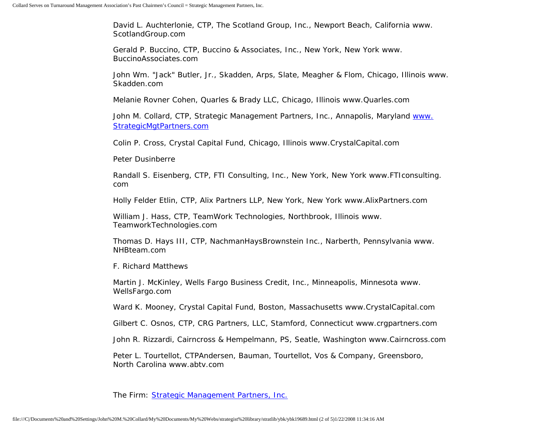David L. Auchterlonie, CTP, The Scotland Group, Inc., Newport Beach, California www. ScotlandGroup.com

Gerald P. Buccino, CTP, Buccino & Associates, Inc., New York, New York www. BuccinoAssociates.com

John Wm. "Jack" Butler, Jr., Skadden, Arps, Slate, Meagher & Flom, Chicago, Illinois www. Skadden.com

Melanie Rovner Cohen, Quarles & Brady LLC, Chicago, Illinois www.Quarles.com

John M. Collard, CTP, Strategic Management Partners, Inc., Annapolis, Maryland [www.](http://www.strategicmgtpartners.com/) [StrategicMgtPartners.com](http://www.strategicmgtpartners.com/)

Colin P. Cross, Crystal Capital Fund, Chicago, Illinois www.CrystalCapital.com

Peter Dusinberre

Randall S. Eisenberg, CTP, FTI Consulting, Inc., New York, New York www.FTIconsulting. com

Holly Felder Etlin, CTP, Alix Partners LLP, New York, New York www.AlixPartners.com

William J. Hass, CTP, TeamWork Technologies, Northbrook, Illinois www. TeamworkTechnologies.com

Thomas D. Hays III, CTP, NachmanHaysBrownstein Inc., Narberth, Pennsylvania www. NHBteam.com

F. Richard Matthews

Martin J. McKinley, Wells Fargo Business Credit, Inc., Minneapolis, Minnesota www. WellsFargo.com

Ward K. Mooney, Crystal Capital Fund, Boston, Massachusetts www.CrystalCapital.com

Gilbert C. Osnos, CTP, CRG Partners, LLC, Stamford, Connecticut www.crgpartners.com

John R. Rizzardi, Cairncross & Hempelmann, PS, Seatle, Washington www.Cairncross.com

Peter L. Tourtellot, CTPAndersen, Bauman, Tourtellot, Vos & Company, Greensboro, North Carolina www.abtv.com

The Firm: [Strategic Management Partners, Inc.](http://www.strategicmgtpartners.com/)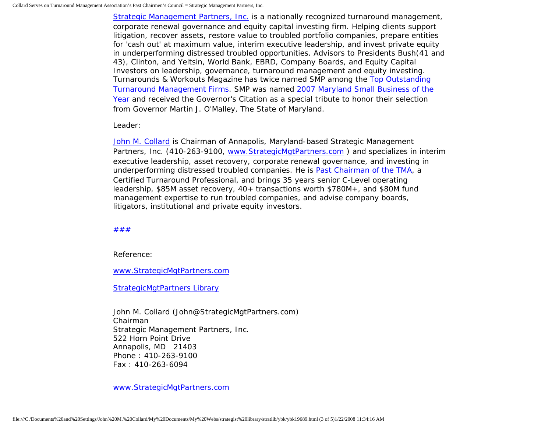[Strategic Management Partners, Inc.](http://www.strategicmanagementpartnersinc.com/) is a nationally recognized turnaround management, corporate renewal governance and equity capital investing firm. Helping clients support litigation, recover assets, restore value to troubled portfolio companies, prepare entities for 'cash out' at maximum value, interim executive leadership, and invest private equity in underperforming distressed troubled opportunities. Advisors to Presidents Bush(41 and 43), Clinton, and Yeltsin, World Bank, EBRD, Company Boards, and Equity Capital Investors on leadership, governance, turnaround management and equity investing. Turnarounds & Workouts Magazine has twice named SMP among the [Top Outstanding](http://members.aol.com/Strategist/twtop12.html) [Turnaround Management Firms](http://members.aol.com/Strategist/twtop12.html). SMP was named [2007 Maryland Small Business of the](http://members.aol.com/Stratlib3/mccsbyr.html) [Year](http://members.aol.com/Stratlib3/mccsbyr.html) and received the Governor's Citation as a special tribute to honor their selection from Governor Martin J. O'Malley, The State of Maryland.

Leader:

[John M. Collard](http://www.turnaroundmanagement.us.com/) is Chairman of Annapolis, Maryland-based Strategic Management Partners, Inc. (410-263-9100, [www.StrategicMgtPartners.com](http://www.strategistlibrary.com/) ) and specializes in interim executive leadership, asset recovery, corporate renewal governance, and investing in underperforming distressed troubled companies. He is [Past Chairman of the TMA](http://members.aol.com/Strategist/pastchair.html), a Certified Turnaround Professional, and brings 35 years senior C-Level operating leadership, \$85M asset recovery, 40+ transactions worth \$780M+, and \$80M fund management expertise to run troubled companies, and advise company boards, litigators, institutional and private equity investors.

[#](http://members.aol.com/Strategist/home.html)[#](http://members.aol.com/Strategist/sitemap.html)[#](http://members.aol.com/Strategist/urllist.txt)

Reference:

[www.StrategicMgtPartners.com](http://www.strategicmgtpartners.com/)

[StrategicMgtPartners Library](http://members.aol.com/stratlib3/liblinx.html)

John M. Collard (John@StrategicMgtPartners.com) Chairman Strategic Management Partners, Inc. 522 Horn Point Drive Annapolis, MD 21403 Phone : 410-263-9100 Fax : 410-263-6094

[www.StrategicMgtPartners.com](http://www.strategicmgtpartners.com/)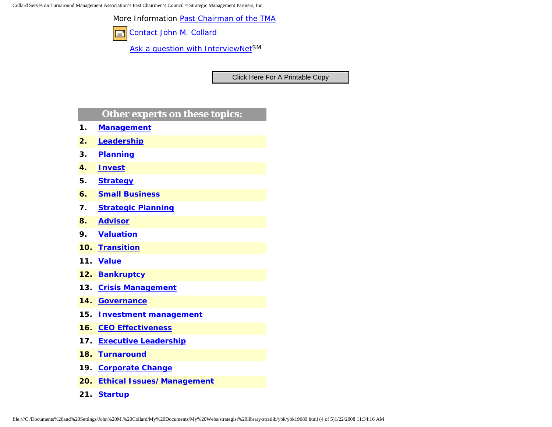Collard Serves on Turnaround Management Association's Past Chairmen's Council = Strategic Management Partners, Inc.

More Information [Past Chairman of the TMA](http://members.aol.com/Strategist/pastchair.html)

[Contact John M. Collard](http://www.expertclick.com/expertClick/contact/default.cfm?Action=ContactExpert&GroupID=1016) F

[Ask a question with InterviewNetS](http://www.expertclick.com/expertClick/contact/default.cfm?GroupID=1016)M

## **Other experts on these topics:**

- **1. [Management](http://www.expertclick.com/search/default.cfm?SearchCriteria=Management)**
- **2. [Leadership](http://www.expertclick.com/search/default.cfm?SearchCriteria=Leadership)**
- **3. [Planning](http://www.expertclick.com/search/default.cfm?SearchCriteria=Planning)**
- **4. [Invest](http://www.expertclick.com/search/default.cfm?SearchCriteria=Invest)**
- **5. [Strategy](http://www.expertclick.com/search/default.cfm?SearchCriteria=Strategy)**
- **6. [Small Business](http://www.expertclick.com/search/default.cfm?SearchCriteria=Small Business)**
- **7. [Strategic Planning](http://www.expertclick.com/search/default.cfm?SearchCriteria=Strategic Planning)**
- **8. [Advisor](http://www.expertclick.com/search/default.cfm?SearchCriteria=Advisor)**
- **9. [Valuation](http://www.expertclick.com/search/default.cfm?SearchCriteria=Valuation)**
- **10. [Transition](http://www.expertclick.com/search/default.cfm?SearchCriteria=Transition)**
- **11. [Value](http://www.expertclick.com/search/default.cfm?SearchCriteria=Value)**
- **12. [Bankruptcy](http://www.expertclick.com/search/default.cfm?SearchCriteria=Bankruptcy)**
- **13. [Crisis Management](http://www.expertclick.com/search/default.cfm?SearchCriteria=Crisis Management)**
- **14. [Governance](http://www.expertclick.com/search/default.cfm?SearchCriteria=Governance)**
- **15. [Investment management](http://www.expertclick.com/search/default.cfm?SearchCriteria=Investment management)**
- **16. [CEO Effectiveness](http://www.expertclick.com/search/default.cfm?SearchCriteria=CEO Effectiveness)**
- **17. [Executive Leadership](http://www.expertclick.com/search/default.cfm?SearchCriteria=Executive Leadership)**
- **18. [Turnaround](http://www.expertclick.com/search/default.cfm?SearchCriteria=Turnaround)**
- **19. [Corporate Change](http://www.expertclick.com/search/default.cfm?SearchCriteria=Corporate Change)**
- **20. [Ethical Issues/Management](http://www.expertclick.com/search/default.cfm?SearchCriteria=Ethical Issues/Management)**
- **21. [Startup](http://www.expertclick.com/search/default.cfm?SearchCriteria=Startup)**